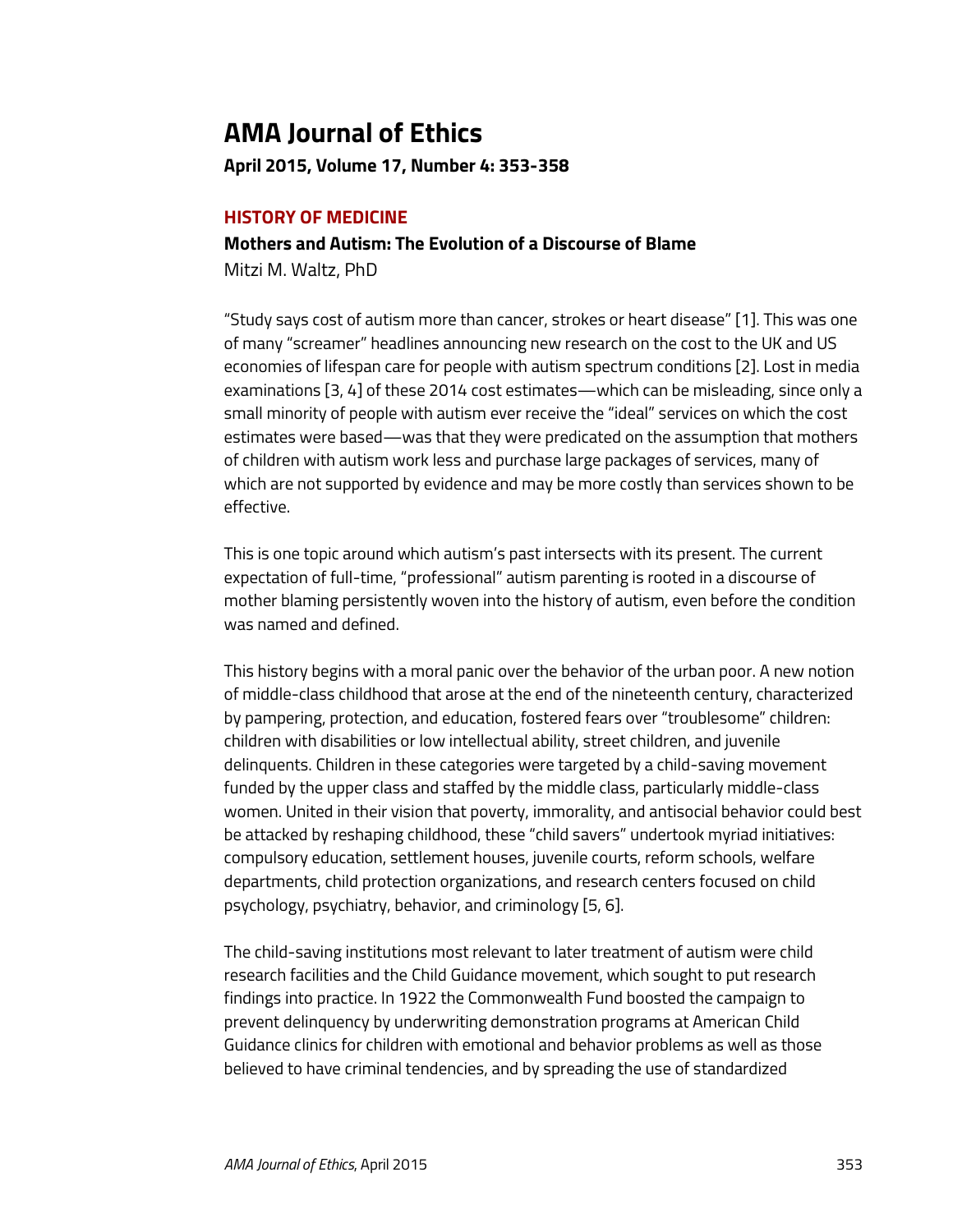# **AMA Journal of Ethics**

**April 2015, Volume 17, Number 4: 353-358**

### **HISTORY OF MEDICINE**

## **Mothers and Autism: The Evolution of a Discourse of Blame**

Mitzi M. Waltz, PhD

"Study says cost of autism more than cancer, strokes or heart disease" [1]. This was one of many "screamer" headlines announcing new research on the cost to the UK and US economies of lifespan care for people with autism spectrum conditions [2]. Lost in media examinations [3, 4] of these 2014 cost estimates—which can be misleading, since only a small minority of people with autism ever receive the "ideal" services on which the cost estimates were based—was that they were predicated on the assumption that mothers of children with autism work less and purchase large packages of services, many of which are not supported by evidence and may be more costly than services shown to be effective.

This is one topic around which autism's past intersects with its present. The current expectation of full-time, "professional" autism parenting is rooted in a discourse of mother blaming persistently woven into the history of autism, even before the condition was named and defined.

This history begins with a moral panic over the behavior of the urban poor. A new notion of middle-class childhood that arose at the end of the nineteenth century, characterized by pampering, protection, and education, fostered fears over "troublesome" children: children with disabilities or low intellectual ability, street children, and juvenile delinquents. Children in these categories were targeted by a child-saving movement funded by the upper class and staffed by the middle class, particularly middle-class women. United in their vision that poverty, immorality, and antisocial behavior could best be attacked by reshaping childhood, these "child savers" undertook myriad initiatives: compulsory education, settlement houses, juvenile courts, reform schools, welfare departments, child protection organizations, and research centers focused on child psychology, psychiatry, behavior, and criminology [5, 6].

The child-saving institutions most relevant to later treatment of autism were child research facilities and the Child Guidance movement, which sought to put research findings into practice. In 1922 the Commonwealth Fund boosted the campaign to prevent delinquency by underwriting demonstration programs at American Child Guidance clinics for children with emotional and behavior problems as well as those believed to have criminal tendencies, and by spreading the use of standardized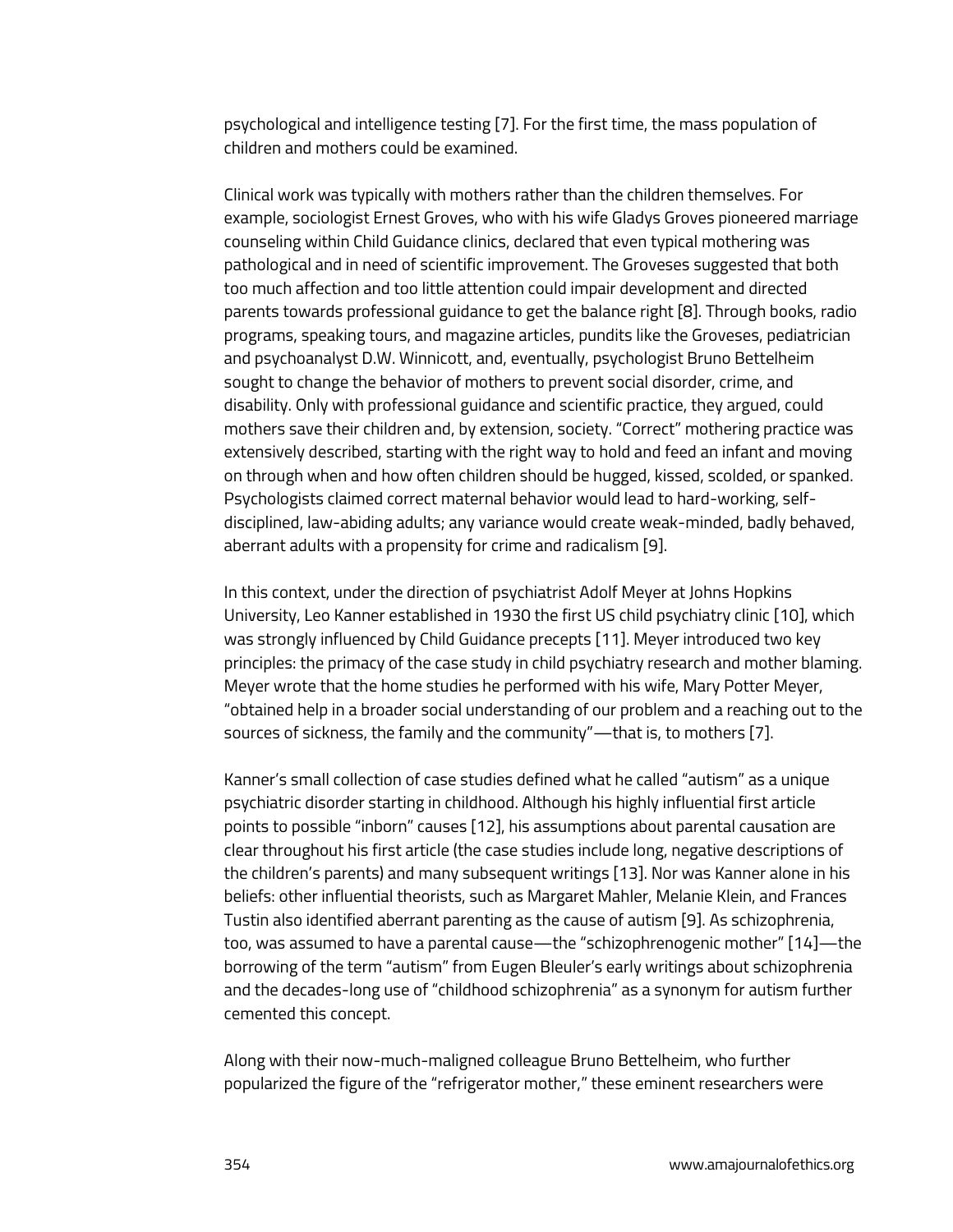psychological and intelligence testing [7]. For the first time, the mass population of children and mothers could be examined.

Clinical work was typically with mothers rather than the children themselves. For example, sociologist Ernest Groves, who with his wife Gladys Groves pioneered marriage counseling within Child Guidance clinics, declared that even typical mothering was pathological and in need of scientific improvement. The Groveses suggested that both too much affection and too little attention could impair development and directed parents towards professional guidance to get the balance right [8]. Through books, radio programs, speaking tours, and magazine articles, pundits like the Groveses, pediatrician and psychoanalyst D.W. Winnicott, and, eventually, psychologist Bruno Bettelheim sought to change the behavior of mothers to prevent social disorder, crime, and disability. Only with professional guidance and scientific practice, they argued, could mothers save their children and, by extension, society. "Correct" mothering practice was extensively described, starting with the right way to hold and feed an infant and moving on through when and how often children should be hugged, kissed, scolded, or spanked. Psychologists claimed correct maternal behavior would lead to hard-working, selfdisciplined, law-abiding adults; any variance would create weak-minded, badly behaved, aberrant adults with a propensity for crime and radicalism [9].

In this context, under the direction of psychiatrist Adolf Meyer at Johns Hopkins University, Leo Kanner established in 1930 the first US child psychiatry clinic [10], which was strongly influenced by Child Guidance precepts [11]. Meyer introduced two key principles: the primacy of the case study in child psychiatry research and mother blaming. Meyer wrote that the home studies he performed with his wife, Mary Potter Meyer, "obtained help in a broader social understanding of our problem and a reaching out to the sources of sickness, the family and the community"—that is, to mothers [7].

Kanner's small collection of case studies defined what he called "autism" as a unique psychiatric disorder starting in childhood. Although his highly influential first article points to possible "inborn" causes [12], his assumptions about parental causation are clear throughout his first article (the case studies include long, negative descriptions of the children's parents) and many subsequent writings [13]. Nor was Kanner alone in his beliefs: other influential theorists, such as Margaret Mahler, Melanie Klein, and Frances Tustin also identified aberrant parenting as the cause of autism [9]. As schizophrenia, too, was assumed to have a parental cause—the "schizophrenogenic mother" [14]—the borrowing of the term "autism" from Eugen Bleuler's early writings about schizophrenia and the decades-long use of "childhood schizophrenia" as a synonym for autism further cemented this concept.

Along with their now-much-maligned colleague Bruno Bettelheim, who further popularized the figure of the "refrigerator mother," these eminent researchers were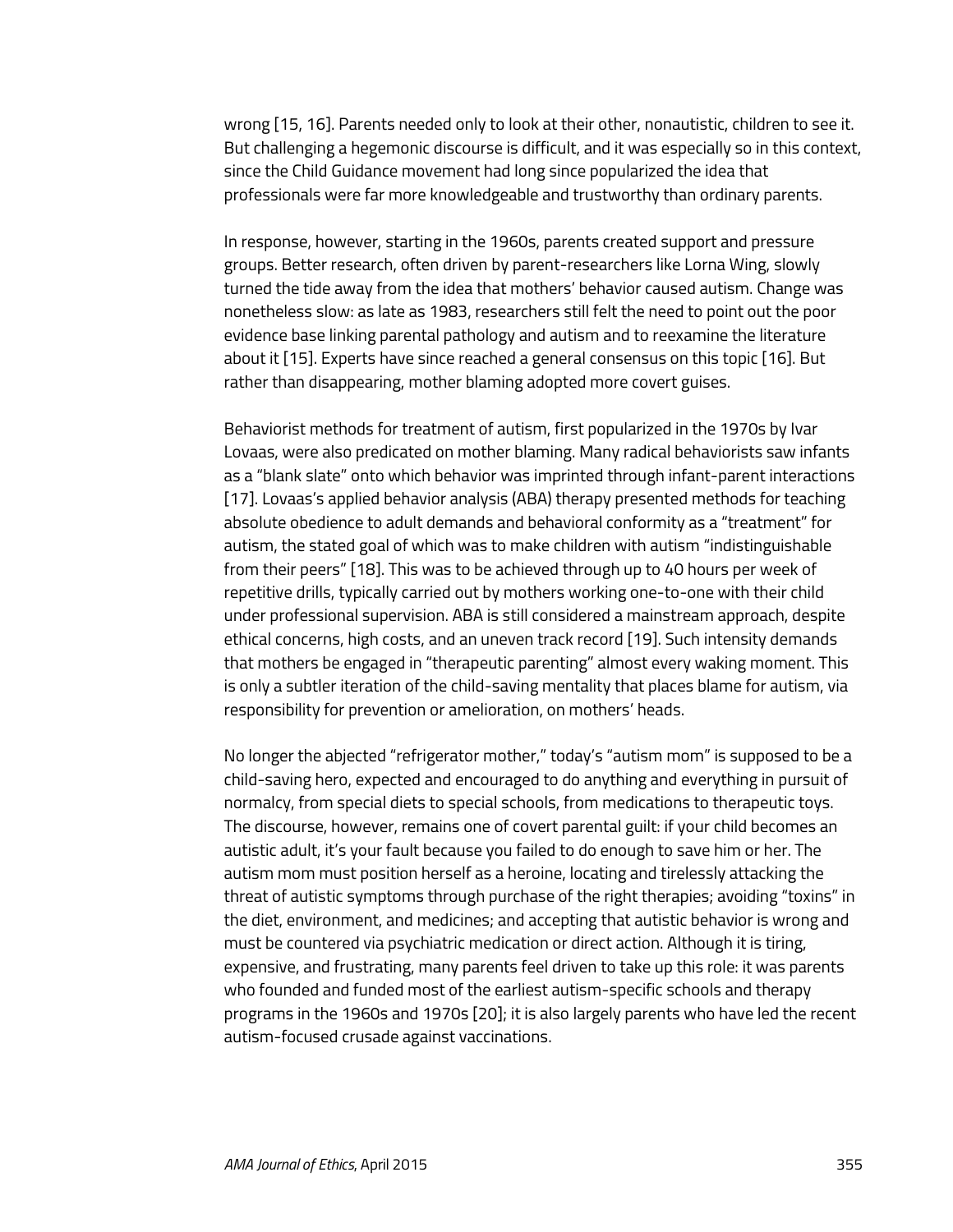wrong [15, 16]. Parents needed only to look at their other, nonautistic, children to see it. But challenging a hegemonic discourse is difficult, and it was especially so in this context, since the Child Guidance movement had long since popularized the idea that professionals were far more knowledgeable and trustworthy than ordinary parents.

In response, however, starting in the 1960s, parents created support and pressure groups. Better research, often driven by parent-researchers like Lorna Wing, slowly turned the tide away from the idea that mothers' behavior caused autism. Change was nonetheless slow: as late as 1983, researchers still felt the need to point out the poor evidence base linking parental pathology and autism and to reexamine the literature about it [15]. Experts have since reached a general consensus on this topic [16]. But rather than disappearing, mother blaming adopted more covert guises.

Behaviorist methods for treatment of autism, first popularized in the 1970s by Ivar Lovaas, were also predicated on mother blaming. Many radical behaviorists saw infants as a "blank slate" onto which behavior was imprinted through infant-parent interactions [17]. Lovaas's applied behavior analysis (ABA) therapy presented methods for teaching absolute obedience to adult demands and behavioral conformity as a "treatment" for autism, the stated goal of which was to make children with autism "indistinguishable from their peers" [18]. This was to be achieved through up to 40 hours per week of repetitive drills, typically carried out by mothers working one-to-one with their child under professional supervision. ABA is still considered a mainstream approach, despite ethical concerns, high costs, and an uneven track record [19]. Such intensity demands that mothers be engaged in "therapeutic parenting" almost every waking moment. This is only a subtler iteration of the child-saving mentality that places blame for autism, via responsibility for prevention or amelioration, on mothers' heads.

No longer the abjected "refrigerator mother," today's "autism mom" is supposed to be a child-saving hero, expected and encouraged to do anything and everything in pursuit of normalcy, from special diets to special schools, from medications to therapeutic toys. The discourse, however, remains one of covert parental guilt: if your child becomes an autistic adult, it's your fault because you failed to do enough to save him or her. The autism mom must position herself as a heroine, locating and tirelessly attacking the threat of autistic symptoms through purchase of the right therapies; avoiding "toxins" in the diet, environment, and medicines; and accepting that autistic behavior is wrong and must be countered via psychiatric medication or direct action. Although it is tiring, expensive, and frustrating, many parents feel driven to take up this role: it was parents who founded and funded most of the earliest autism-specific schools and therapy programs in the 1960s and 1970s [20]; it is also largely parents who have led the recent autism-focused crusade against vaccinations.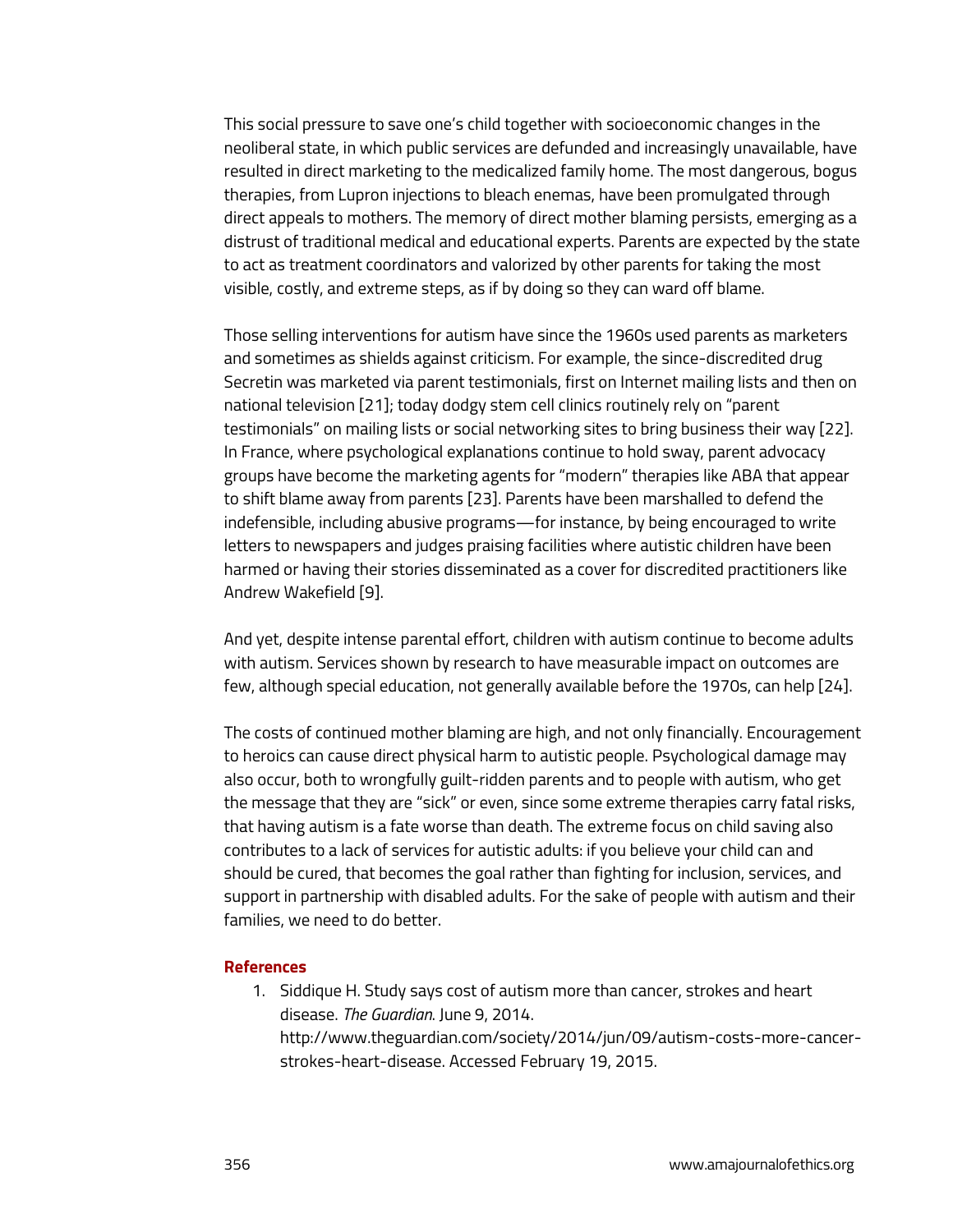This social pressure to save one's child together with socioeconomic changes in the neoliberal state, in which public services are defunded and increasingly unavailable, have resulted in direct marketing to the medicalized family home. The most dangerous, bogus therapies, from Lupron injections to bleach enemas, have been promulgated through direct appeals to mothers. The memory of direct mother blaming persists, emerging as a distrust of traditional medical and educational experts. Parents are expected by the state to act as treatment coordinators and valorized by other parents for taking the most visible, costly, and extreme steps, as if by doing so they can ward off blame.

Those selling interventions for autism have since the 1960s used parents as marketers and sometimes as shields against criticism. For example, the since-discredited drug Secretin was marketed via parent testimonials, first on Internet mailing lists and then on national television [21]; today dodgy stem cell clinics routinely rely on "parent testimonials" on mailing lists or social networking sites to bring business their way [22]. In France, where psychological explanations continue to hold sway, parent advocacy groups have become the marketing agents for "modern" therapies like ABA that appear to shift blame away from parents [23]. Parents have been marshalled to defend the indefensible, including abusive programs—for instance, by being encouraged to write letters to newspapers and judges praising facilities where autistic children have been harmed or having their stories disseminated as a cover for discredited practitioners like Andrew Wakefield [9].

And yet, despite intense parental effort, children with autism continue to become adults with autism. Services shown by research to have measurable impact on outcomes are few, although special education, not generally available before the 1970s, can help [24].

The costs of continued mother blaming are high, and not only financially. Encouragement to heroics can cause direct physical harm to autistic people. Psychological damage may also occur, both to wrongfully guilt-ridden parents and to people with autism, who get the message that they are "sick" or even, since some extreme therapies carry fatal risks, that having autism is a fate worse than death. The extreme focus on child saving also contributes to a lack of services for autistic adults: if you believe your child can and should be cured, that becomes the goal rather than fighting for inclusion, services, and support in partnership with disabled adults. For the sake of people with autism and their families, we need to do better.

#### **References**

1. Siddique H. Study says cost of autism more than cancer, strokes and heart disease. *The Guardian*. June 9, 2014. http://www.theguardian.com/society/2014/jun/09/autism-costs-more-cancerstrokes-heart-disease. Accessed February 19, 2015.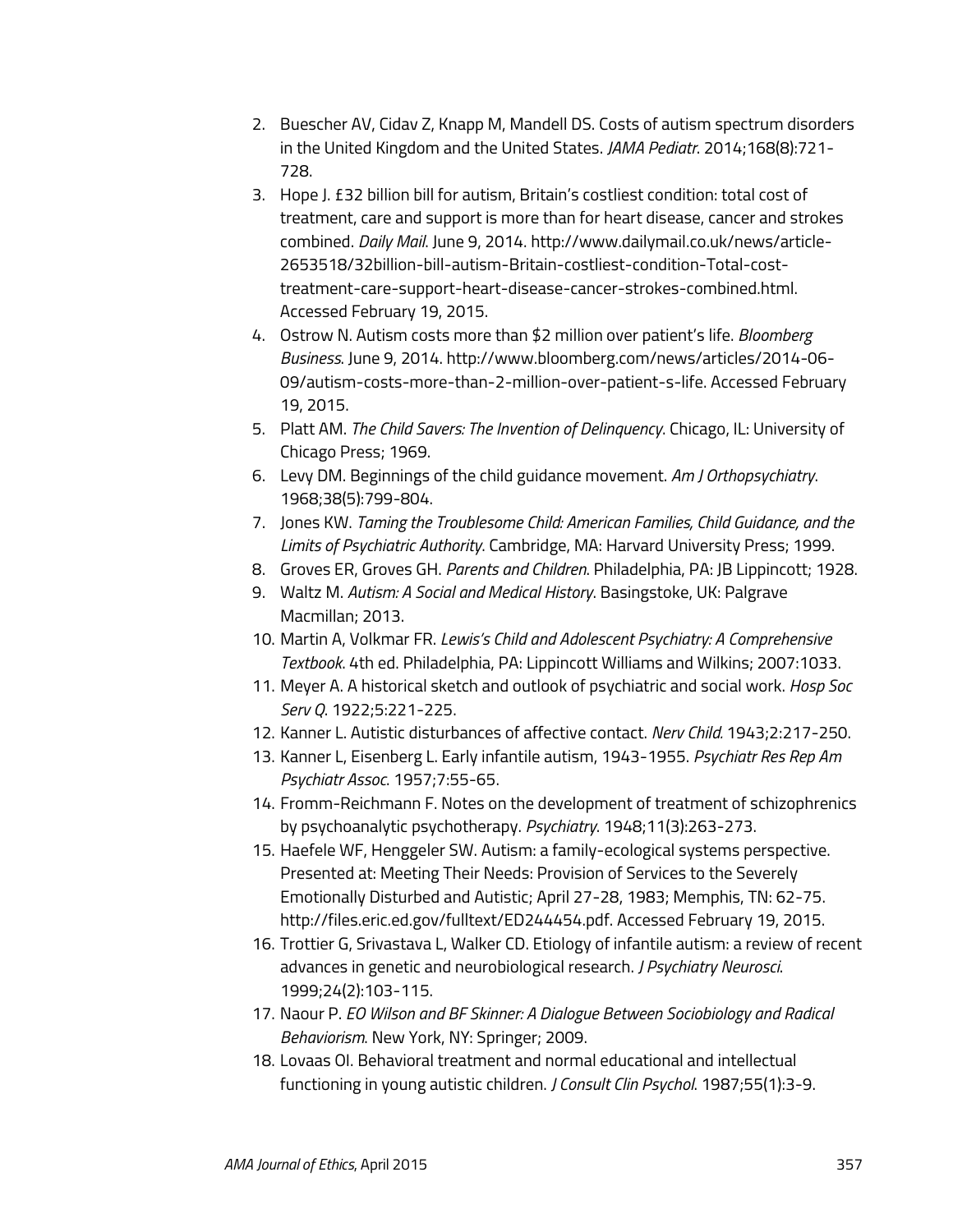- 2. Buescher AV, Cidav Z, Knapp M, Mandell DS. Costs of autism spectrum disorders in the United Kingdom and the United States. *JAMA Pediatr*. 2014;168(8):721- 728.
- 3. Hope J. £32 billion bill for autism, Britain's costliest condition: total cost of treatment, care and support is more than for heart disease, cancer and strokes combined. *Daily Mail*. June 9, 2014. http://www.dailymail.co.uk/news/article-2653518/32billion-bill-autism-Britain-costliest-condition-Total-costtreatment-care-support-heart-disease-cancer-strokes-combined.html. Accessed February 19, 2015.
- 4. Ostrow N. Autism costs more than \$2 million over patient's life. *Bloomberg Business*. June 9, 2014. http://www.bloomberg.com/news/articles/2014-06- 09/autism-costs-more-than-2-million-over-patient-s-life. Accessed February 19, 2015.
- 5. Platt AM. *The Child Savers: The Invention of Delinquency*. Chicago, IL: University of Chicago Press; 1969.
- 6. Levy DM. Beginnings of the child guidance movement. *Am J Orthopsychiatry*. 1968;38(5):799-804.
- 7. Jones KW. *Taming the Troublesome Child: American Families, Child Guidance, and the Limits of Psychiatric Authority*. Cambridge, MA: Harvard University Press; 1999.
- 8. Groves ER, Groves GH. *Parents and Children*. Philadelphia, PA: JB Lippincott; 1928.
- 9. Waltz M. *Autism: A Social and Medical History*. Basingstoke, UK: Palgrave Macmillan; 2013.
- 10. Martin A, Volkmar FR. *Lewis's Child and Adolescent Psychiatry: A Comprehensive Textbook*. 4th ed. Philadelphia, PA: Lippincott Williams and Wilkins; 2007:1033.
- 11. Meyer A. A historical sketch and outlook of psychiatric and social work. *Hosp Soc Serv Q*. 1922;5:221-225.
- 12. Kanner L. Autistic disturbances of affective contact. *Nerv Child.* 1943;2:217-250.
- 13. Kanner L, Eisenberg L. Early infantile autism, 1943-1955. *Psychiatr Res Rep Am Psychiatr Assoc*. 1957;7:55-65.
- 14. Fromm-Reichmann F. Notes on the development of treatment of schizophrenics by psychoanalytic psychotherapy. *Psychiatry*. 1948;11(3):263-273.
- 15. Haefele WF, Henggeler SW. Autism: a family-ecological systems perspective. Presented at: Meeting Their Needs: Provision of Services to the Severely Emotionally Disturbed and Autistic; April 27-28, 1983; Memphis, TN: 62-75. http://files.eric.ed.gov/fulltext/ED244454.pdf. Accessed February 19, 2015.
- 16. Trottier G, Srivastava L, Walker CD. Etiology of infantile autism: a review of recent advances in genetic and neurobiological research. *J Psychiatry Neurosci*. 1999;24(2):103-115.
- 17. Naour P. *EO Wilson and BF Skinner: A Dialogue Between Sociobiology and Radical Behaviorism*. New York, NY: Springer; 2009.
- 18. Lovaas OI. Behavioral treatment and normal educational and intellectual functioning in young autistic children. *J Consult Clin Psychol*. 1987;55(1):3-9.